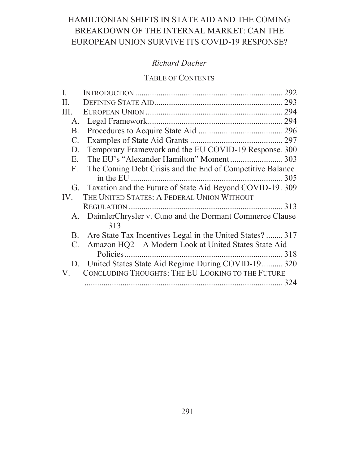# HAMILTONIAN SHIFTS IN STATE AID AND THE COMING BREAKDOWN OF THE INTERNAL MARKET: CAN THE EUROPEAN UNION SURVIVE ITS COVID-19 RESPONSE?

# **Richard Dacher**

# **TABLE OF CONTENTS**

| I.             | 292                                                        |
|----------------|------------------------------------------------------------|
| II.            |                                                            |
| III.           |                                                            |
| A.             |                                                            |
| B.             |                                                            |
| $\mathbf{C}$ . |                                                            |
| D.             | Temporary Framework and the EU COVID-19 Response. 300      |
| E.             |                                                            |
| F.             | The Coming Debt Crisis and the End of Competitive Balance  |
|                |                                                            |
| G.             | Taxation and the Future of State Aid Beyond COVID-19.309   |
| IV.            | THE UNITED STATES: A FEDERAL UNION WITHOUT                 |
|                |                                                            |
|                | A. DaimlerChrysler v. Cuno and the Dormant Commerce Clause |
|                | 313                                                        |
| B.             | Are State Tax Incentives Legal in the United States?  317  |
| C.             | Amazon HQ2—A Modern Look at United States State Aid        |
|                |                                                            |
|                | D. United States State Aid Regime During COVID-19 320      |
| V.             | CONCLUDING THOUGHTS: THE EU LOOKING TO THE FUTURE          |
|                |                                                            |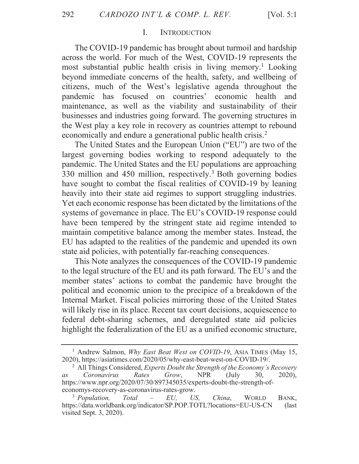#### L. **INTRODUCTION**

The COVID-19 pandemic has brought about turmoil and hardship across the world. For much of the West, COVID-19 represents the most substantial public health crisis in living memory.<sup>1</sup> Looking beyond immediate concerns of the health, safety, and wellbeing of citizens, much of the West's legislative agenda throughout the pandemic has focused on countries' economic health and maintenance, as well as the viability and sustainability of their businesses and industries going forward. The governing structures in the West play a key role in recovery as countries attempt to rebound economically and endure a generational public health crisis.<sup>2</sup>

The United States and the European Union ("EU") are two of the largest governing bodies working to respond adequately to the pandemic. The United States and the EU populations are approaching 330 million and 450 million, respectively.<sup>3</sup> Both governing bodies have sought to combat the fiscal realities of COVID-19 by leaning heavily into their state aid regimes to support struggling industries. Yet each economic response has been dictated by the limitations of the systems of governance in place. The EU's COVID-19 response could have been tempered by the stringent state aid regime intended to maintain competitive balance among the member states. Instead, the EU has adapted to the realities of the pandemic and upended its own state aid policies, with potentially far-reaching consequences.

This Note analyzes the consequences of the COVID-19 pandemic to the legal structure of the EU and its path forward. The EU's and the member states' actions to combat the pandemic have brought the political and economic union to the precipice of a breakdown of the Internal Market. Fiscal policies mirroring those of the United States will likely rise in its place. Recent tax court decisions, acquiescence to federal debt-sharing schemes, and deregulated state aid policies highlight the federalization of the EU as a unified economic structure,

<sup>&</sup>lt;sup>1</sup> Andrew Salmon, *Why East Beat West on COVID-19*, ASIA TIMES (May 15, 2020), https://asiatimes.com/2020/05/why-east-beat-west-on-COVID-19/.

<sup>&</sup>lt;sup>2</sup> All Things Considered, Experts Doubt the Strength of the Economy's Recovery Coronavirus **NPR** Rates Grow, (July 30,  $2020$ ),  $a<sub>s</sub>$ https://www.npr.org/2020/07/30/897345035/experts-doubt-the-strength-ofeconomys-recovery-as-coronavirus-rates-grow.

<sup>&</sup>lt;sup>3</sup> Population, Total EU,  $US$ , China, **WORLD** BANK. https://data.worldbank.org/indicator/SP.POP.TOTL?locations=EU-US-CN (last) visited Sept.  $3, 2020$ ).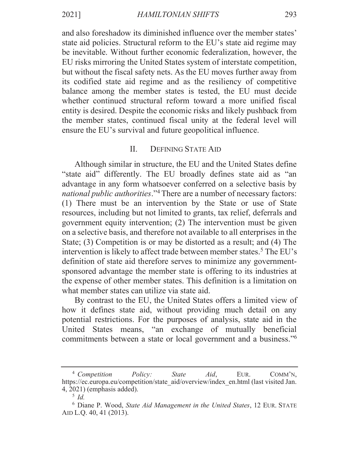and also foreshadow its diminished influence over the member states' state aid policies. Structural reform to the EU's state aid regime may be inevitable. Without further economic federalization, however, the EU risks mirroring the United States system of interstate competition, but without the fiscal safety nets. As the EU moves further away from its codified state aid regime and as the resiliency of competitive balance among the member states is tested, the EU must decide whether continued structural reform toward a more unified fiscal entity is desired. Despite the economic risks and likely pushback from the member states, continued fiscal unity at the federal level will ensure the EU's survival and future geopolitical influence.

### $\Pi$ . **DEFINING STATE AID**

Although similar in structure, the EU and the United States define "state aid" differently. The EU broadly defines state aid as "an advantage in any form whatsoever conferred on a selective basis by *national public authorities.*"<sup>4</sup> There are a number of necessary factors: (1) There must be an intervention by the State or use of State resources, including but not limited to grants, tax relief, deferrals and government equity intervention; (2) The intervention must be given on a selective basis, and therefore not available to all enterprises in the State; (3) Competition is or may be distorted as a result; and (4) The intervention is likely to affect trade between member states.<sup>5</sup> The EU's definition of state aid therefore serves to minimize any governmentsponsored advantage the member state is offering to its industries at the expense of other member states. This definition is a limitation on what member states can utilize via state aid.

By contrast to the EU, the United States offers a limited view of how it defines state aid, without providing much detail on any potential restrictions. For the purposes of analysis, state aid in the United States means, "an exchange of mutually beneficial commitments between a state or local government and a business."<sup>6</sup>

 $4$  Competition Policy: **State**  $Aid$ . COMM'N, EUR. https://ec.europa.eu/competition/state aid/overview/index en.html (last visited Jan.  $(4, 2021)$  (emphasis added).

 $5$  Id.

 $6$  Diane P. Wood, State Aid Management in the United States, 12 EUR. STATE AID L.Q. 40, 41 (2013).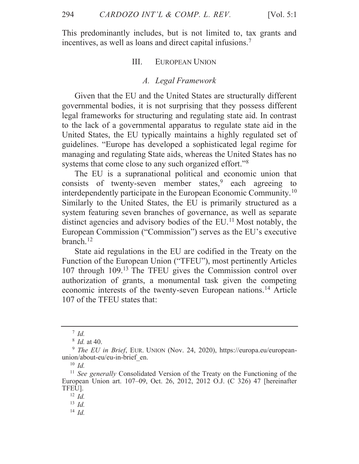[Vol.  $5:1$ ]

This predominantly includes, but is not limited to, tax grants and incentives, as well as loans and direct capital infusions.<sup>7</sup>

#### III. **EUROPEAN UNION**

### A. Legal Framework

Given that the EU and the United States are structurally different governmental bodies, it is not surprising that they possess different legal frameworks for structuring and regulating state aid. In contrast to the lack of a governmental apparatus to regulate state aid in the United States, the EU typically maintains a highly regulated set of guidelines. "Europe has developed a sophisticated legal regime for managing and regulating State aids, whereas the United States has no systems that come close to any such organized effort."<sup>8</sup>

The EU is a supranational political and economic union that consists of twenty-seven member states,  $\degree$  each agreeing to interdependently participate in the European Economic Community.<sup>10</sup> Similarly to the United States, the EU is primarily structured as a system featuring seven branches of governance, as well as separate distinct agencies and advisory bodies of the EU.<sup>11</sup> Most notably, the European Commission ("Commission") serves as the EU's executive branch. $^{12}$ 

State aid regulations in the EU are codified in the Treaty on the Function of the European Union ("TFEU"), most pertinently Articles 107 through 109.<sup>13</sup> The TFEU gives the Commission control over authorization of grants, a monumental task given the competing economic interests of the twenty-seven European nations.<sup>14</sup> Article 107 of the TFEU states that:

 $^7$  Id.

 $8$  *Id.* at 40.

<sup>&</sup>lt;sup>9</sup> The EU in Brief, EUR. UNION (Nov. 24, 2020), https://europa.eu/europeanunion/about-eu/eu-in-brief en.

 $^{10}$   $\emph{Id}.$ 

<sup>&</sup>lt;sup>11</sup> See generally Consolidated Version of the Treaty on the Functioning of the European Union art. 107–09, Oct. 26, 2012, 2012 O.J. (C 326) 47 [hereinafter TFEU1.

 $12$  *Id.* 

 $13$  *Id.* 

 $14$  *Id.*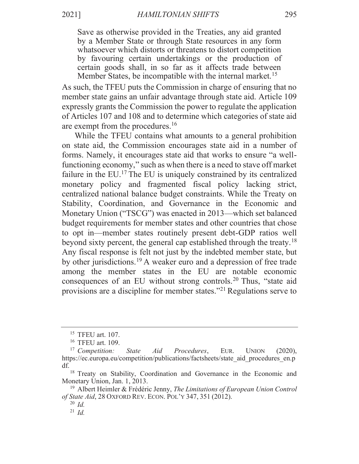Save as otherwise provided in the Treaties, any aid granted by a Member State or through State resources in any form whatsoever which distorts or threatens to distort competition by favouring certain undertakings or the production of certain goods shall, in so far as it affects trade between Member States, be incompatible with the internal market.<sup>15</sup>

As such, the TFEU puts the Commission in charge of ensuring that no member state gains an unfair advantage through state aid. Article 109 expressly grants the Commission the power to regulate the application of Articles 107 and 108 and to determine which categories of state aid are exempt from the procedures.<sup>16</sup>

While the TFEU contains what amounts to a general prohibition on state aid, the Commission encourages state aid in a number of forms. Namely, it encourages state aid that works to ensure "a wellfunctioning economy," such as when there is a need to stave off market failure in the EU.<sup>17</sup> The EU is uniquely constrained by its centralized monetary policy and fragmented fiscal policy lacking strict, centralized national balance budget constraints. While the Treaty on Stability, Coordination, and Governance in the Economic and Monetary Union ("TSCG") was enacted in 2013—which set balanced budget requirements for member states and other countries that chose to opt in—member states routinely present debt-GDP ratios well beyond sixty percent, the general cap established through the treaty.<sup>18</sup> Any fiscal response is felt not just by the indebted member state, but by other jurisdictions.<sup>19</sup> A weaker euro and a depression of free trade among the member states in the EU are notable economic consequences of an EU without strong controls.<sup>20</sup> Thus, "state aid provisions are a discipline for member states."<sup>21</sup> Regulations serve to

 $15$  TFEU art. 107.

<sup>&</sup>lt;sup>16</sup> TFEU art. 109.

 $(2020).$  $17$  Competition: **State** Aid Procedures, EUR. **UNION** https://ec.europa.eu/competition/publications/factsheets/state aid procedures en.p df.

<sup>&</sup>lt;sup>18</sup> Treaty on Stability, Coordination and Governance in the Economic and Monetary Union, Jan. 1, 2013.

<sup>&</sup>lt;sup>19</sup> Albert Heimler & Frédéric Jenny, *The Limitations of European Union Control* of State Aid, 28 OXFORD REV. ECON. POL'Y 347, 351 (2012).

 $20$  *Id.* 

 $^{21}$  *Id.*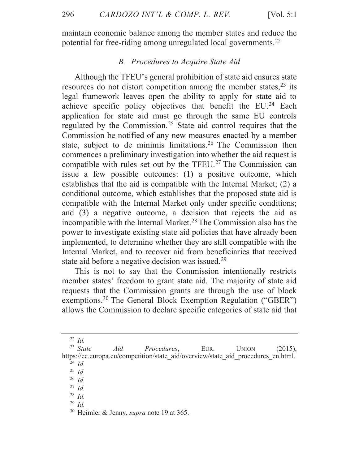maintain economic balance among the member states and reduce the potential for free-riding among unregulated local governments.<sup>22</sup>

# B. Procedures to Acquire State Aid

Although the TFEU's general prohibition of state aid ensures state resources do not distort competition among the member states,  $23$  its legal framework leaves open the ability to apply for state aid to achieve specific policy objectives that benefit the EU.<sup>24</sup> Each application for state aid must go through the same EU controls regulated by the Commission.<sup>25</sup> State aid control requires that the Commission be notified of any new measures enacted by a member state, subject to de minimis limitations.<sup>26</sup> The Commission then commences a preliminary investigation into whether the aid request is compatible with rules set out by the TFEU.<sup>27</sup> The Commission can issue a few possible outcomes: (1) a positive outcome, which establishes that the aid is compatible with the Internal Market; (2) a conditional outcome, which establishes that the proposed state aid is compatible with the Internal Market only under specific conditions; and (3) a negative outcome, a decision that rejects the aid as incompatible with the Internal Market.<sup>28</sup> The Commission also has the power to investigate existing state aid policies that have already been implemented, to determine whether they are still compatible with the Internal Market, and to recover aid from beneficiaries that received state aid before a negative decision was issued.<sup>29</sup>

This is not to say that the Commission intentionally restricts member states' freedom to grant state aid. The majority of state aid requests that the Commission grants are through the use of block exemptions.<sup>30</sup> The General Block Exemption Regulation ("GBER") allows the Commission to declare specific categories of state aid that

<sup>25</sup> Id

 $26$  *Id.* 

 $^{27}$  *Id.* 

 $28$  *Id.* 

 $29$  Id.

<sup>&</sup>lt;sup>22</sup> Id

 $23$  State Aid Procedures, EUR. **UNION**  $(2015)$ , https://ec.europa.eu/competition/state\_aid/overview/state\_aid\_procedures\_en.html.  $^{24}$  Id.

<sup>&</sup>lt;sup>30</sup> Heimler & Jenny, *supra* note 19 at 365.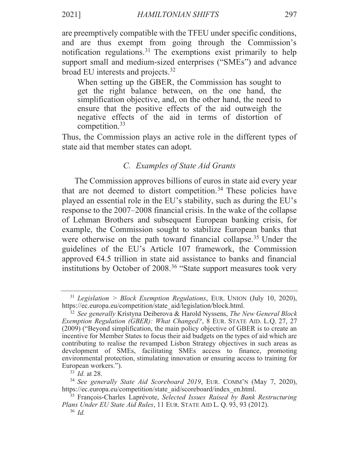are preemptively compatible with the TFEU under specific conditions, and are thus exempt from going through the Commission's

notification regulations.<sup>31</sup> The exemptions exist primarily to help support small and medium-sized enterprises ("SMEs") and advance broad EU interests and projects.<sup>32</sup>

When setting up the GBER, the Commission has sought to get the right balance between, on the one hand, the simplification objective, and, on the other hand, the need to ensure that the positive effects of the aid outweigh the negative effects of the aid in terms of distortion of competition. $33$ 

Thus, the Commission plays an active role in the different types of state aid that member states can adopt.

# C. Examples of State Aid Grants

The Commission approves billions of euros in state aid every year that are not deemed to distort competition.<sup>34</sup> These policies have played an essential role in the EU's stability, such as during the EU's response to the 2007–2008 financial crisis. In the wake of the collapse of Lehman Brothers and subsequent European banking crisis, for example, the Commission sought to stabilize European banks that were otherwise on the path toward financial collapse.<sup>35</sup> Under the guidelines of the EU's Article 107 framework, the Commission approved  $64.5$  trillion in state aid assistance to banks and financial institutions by October of 2008.<sup>36</sup> "State support measures took very

 $31$  Legislation > Block Exemption Regulations, EUR. UNION (July 10, 2020), https://ec.europa.eu/competition/state\_aid/legislation/block.html.

<sup>&</sup>lt;sup>32</sup> See generally Kristyna Deiberova & Harold Nyssens, *The New General Block* Exemption Regulation (GBER): What Changed?, 8 EUR. STATE AID. L.Q. 27, 27 (2009) ("Beyond simplification, the main policy objective of GBER is to create an incentive for Member States to focus their aid budgets on the types of aid which are contributing to realise the revamped Lisbon Strategy objectives in such areas as development of SMEs, facilitating SMEs access to finance, promoting environmental protection, stimulating innovation or ensuring access to training for European workers.").

 $33$  *Id.* at 28.

<sup>&</sup>lt;sup>34</sup> See generally State Aid Scoreboard 2019, EUR. COMM'N (May 7, 2020), https://ec.europa.eu/competition/state aid/scoreboard/index en.html.

<sup>&</sup>lt;sup>35</sup> François-Charles Laprévote, Selected Issues Raised by Bank Restructuring Plans Under EU State Aid Rules, 11 EUR. STATE AID L. Q. 93, 93 (2012).

 $36$  *Id*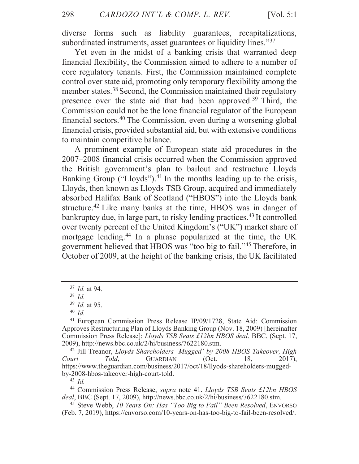diverse forms such as liability guarantees, recapitalizations, subordinated instruments, asset guarantees or liquidity lines."<sup>37</sup>

Yet even in the midst of a banking crisis that warranted deep financial flexibility, the Commission aimed to adhere to a number of core regulatory tenants. First, the Commission maintained complete control over state aid, promoting only temporary flexibility among the member states.<sup>38</sup> Second, the Commission maintained their regulatory presence over the state aid that had been approved.<sup>39</sup> Third, the Commission could not be the lone financial regulator of the European financial sectors.<sup>40</sup> The Commission, even during a worsening global financial crisis, provided substantial aid, but with extensive conditions to maintain competitive balance.

A prominent example of European state aid procedures in the 2007–2008 financial crisis occurred when the Commission approved the British government's plan to bailout and restructure Lloyds Banking Group ("Lloyds").<sup>41</sup> In the months leading up to the crisis, Lloyds, then known as Lloyds TSB Group, acquired and immediately absorbed Halifax Bank of Scotland ("HBOS") into the Lloyds bank structure.<sup>42</sup> Like many banks at the time, HBOS was in danger of bankruptcy due, in large part, to risky lending practices.<sup>43</sup> It controlled over twenty percent of the United Kingdom's ("UK") market share of mortgage lending.<sup>44</sup> In a phrase popularized at the time, the UK government believed that HBOS was "too big to fail."<sup>45</sup> Therefore, in October of 2009, at the height of the banking crisis, the UK facilitated

<sup>42</sup> Jill Treanor, Lloyds Shareholders 'Mugged' by 2008 HBOS Takeover, High  $(Oct.$ Court Told. **GUARDIAN** 18.  $2017$ , https://www.theguardian.com/business/2017/oct/18/llyods-shareholders-muggedby-2008-hbos-takeover-high-court-told.

 $43$  *Id.* 

<sup>44</sup> Commission Press Release, *supra* note 41. Lloyds TSB Seats £12bn HBOS deal, BBC (Sept. 17, 2009), http://news.bbc.co.uk/2/hi/business/7622180.stm.

 $37$  *Id.* at 94.

 $38$  *Id.* 

 $39$  *Id.* at 95.

 $40$  *Id.* 

<sup>&</sup>lt;sup>41</sup> European Commission Press Release IP/09/1728, State Aid: Commission Approves Restructuring Plan of Lloyds Banking Group (Nov. 18, 2009) [hereinafter Commission Press Release]; Lloyds TSB Seats £12bn HBOS deal, BBC, (Sept. 17, 2009), http://news.bbc.co.uk/2/hi/business/7622180.stm.

<sup>&</sup>lt;sup>45</sup> Steve Webb, 10 Years On: Has "Too Big to Fail" Been Resolved, ENVORSO (Feb. 7, 2019), https://envorso.com/10-years-on-has-too-big-to-fail-been-resolved/.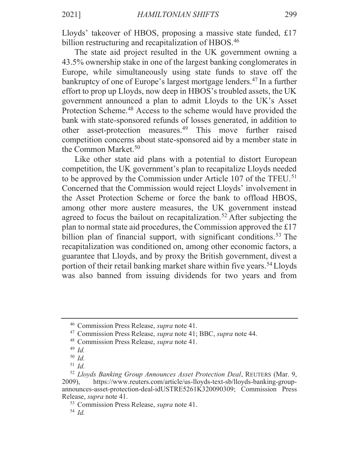Lloyds' takeover of HBOS, proposing a massive state funded, £17 billion restructuring and recapitalization of HBOS.<sup>46</sup>

The state aid project resulted in the UK government owning a 43.5% ownership stake in one of the largest banking conglomerates in Europe, while simultaneously using state funds to stave off the bankruptcy of one of Europe's largest mortgage lenders.<sup>47</sup> In a further effort to prop up Lloyds, now deep in HBOS's troubled assets, the UK government announced a plan to admit Lloyds to the UK's Asset Protection Scheme.<sup>48</sup> Access to the scheme would have provided the bank with state-sponsored refunds of losses generated, in addition to other asset-protection measures.<sup>49</sup> This move further raised competition concerns about state-sponsored aid by a member state in the Common Market.<sup>50</sup>

Like other state aid plans with a potential to distort European competition, the UK government's plan to recapitalize Lloyds needed to be approved by the Commission under Article 107 of the TFEU.<sup>51</sup> Concerned that the Commission would reject Lloyds' involvement in the Asset Protection Scheme or force the bank to offload HBOS, among other more austere measures, the UK government instead agreed to focus the bailout on recapitalization.<sup>52</sup> After subjecting the plan to normal state aid procedures, the Commission approved the  $£17$ billion plan of financial support, with significant conditions.<sup>53</sup> The recapitalization was conditioned on, among other economic factors, a guarantee that Lloyds, and by proxy the British government, divest a portion of their retail banking market share within five years.<sup>54</sup> Lloyds was also banned from issuing dividends for two years and from

<sup>&</sup>lt;sup>46</sup> Commission Press Release, *supra* note 41.

<sup>&</sup>lt;sup>47</sup> Commission Press Release, *supra* note 41; BBC, *supra* note 44.

<sup>&</sup>lt;sup>48</sup> Commission Press Release, *supra* note 41.

 $49$  Id.

 $^{50}$   $\emph{Id}.$ 

 $51$  *Id.* 

<sup>&</sup>lt;sup>52</sup> Lloyds Banking Group Announces Asset Protection Deal, REUTERS (Mar. 9,  $2009$ ), https://www.reuters.com/article/us-lloyds-text-sb/lloyds-banking-groupannounces-asset-protection-deal-idUSTRE5261K320090309; Commission Press Release, *supra* note 41.

<sup>&</sup>lt;sup>53</sup> Commission Press Release, *supra* note 41.

 $54$  *Id.*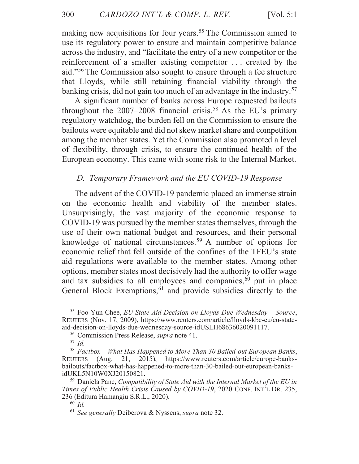making new acquisitions for four years.<sup>55</sup> The Commission aimed to use its regulatory power to ensure and maintain competitive balance across the industry, and "facilitate the entry of a new competitor or the reinforcement of a smaller existing competitor ... created by the aid."<sup>56</sup> The Commission also sought to ensure through a fee structure that Lloyds, while still retaining financial viability through the banking crisis, did not gain too much of an advantage in the industry.<sup>57</sup>

A significant number of banks across Europe requested bailouts throughout the  $2007-2008$  financial crisis.<sup>58</sup> As the EU's primary regulatory watchdog, the burden fell on the Commission to ensure the bailouts were equitable and did not skew market share and competition among the member states. Yet the Commission also promoted a level of flexibility, through crisis, to ensure the continued health of the European economy. This came with some risk to the Internal Market.

# D. Temporary Framework and the EU COVID-19 Response

The advent of the COVID-19 pandemic placed an immense strain on the economic health and viability of the member states. Unsurprisingly, the vast majority of the economic response to COVID-19 was pursued by the member states themselves, through the use of their own national budget and resources, and their personal knowledge of national circumstances.<sup>59</sup> A number of options for economic relief that fell outside of the confines of the TFEU's state aid regulations were available to the member states. Among other options, member states most decisively had the authority to offer wage and tax subsidies to all employees and companies,<sup>60</sup> put in place General Block Exemptions,<sup>61</sup> and provide subsidies directly to the

<sup>&</sup>lt;sup>55</sup> Foo Yun Chee, *EU State Aid Decision on Lloyds Due Wednesday - Source*, REUTERS (Nov. 17, 2009), https://www.reuters.com/article/lloyds-kbc-eu/eu-stateaid-decision-on-lloyds-due-wednesday-source-idUSLH68636020091117.

<sup>&</sup>lt;sup>56</sup> Commission Press Release, *supra* note 41.

 $57$  Id.

<sup>&</sup>lt;sup>58</sup> Factbox – What Has Happened to More Than 30 Bailed-out European Banks, REUTERS (Aug. 21, 2015), https://www.reuters.com/article/europe-banksbailouts/factbox-what-has-happened-to-more-than-30-bailed-out-european-banksidUKL5N10W0XJ20150821.

 $59$  Daniela Panc, Compatibility of State Aid with the Internal Market of the EU in Times of Public Health Crisis Caused by COVID-19, 2020 CONF. INT'L DR. 235, 236 (Editura Hamangiu S.R.L., 2020).

 $60$  *Id.* 

 $61$  See generally Deiberova & Nyssens, supra note 32.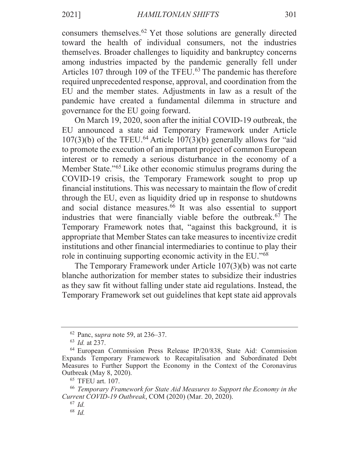consumers themselves.<sup>62</sup> Yet those solutions are generally directed toward the health of individual consumers, not the industries themselves. Broader challenges to liquidity and bankruptcy concerns among industries impacted by the pandemic generally fell under Articles 107 through 109 of the TFEU.<sup>63</sup> The pandemic has therefore required unprecedented response, approval, and coordination from the EU and the member states. Adjustments in law as a result of the pandemic have created a fundamental dilemma in structure and governance for the EU going forward.

On March 19, 2020, soon after the initial COVID-19 outbreak, the EU announced a state aid Temporary Framework under Article  $107(3)(b)$  of the TFEU.<sup>64</sup> Article  $107(3)(b)$  generally allows for "aid" to promote the execution of an important project of common European interest or to remedy a serious disturbance in the economy of a Member State."<sup>65</sup> Like other economic stimulus programs during the COVID-19 crisis, the Temporary Framework sought to prop up financial institutions. This was necessary to maintain the flow of credit through the EU, even as liquidity dried up in response to shutdowns and social distance measures.<sup>66</sup> It was also essential to support industries that were financially viable before the outbreak.<sup>67</sup> The Temporary Framework notes that, "against this background, it is appropriate that Member States can take measures to incentivize credit institutions and other financial intermediaries to continue to play their role in continuing supporting economic activity in the EU."<sup>68</sup>

The Temporary Framework under Article 107(3)(b) was not carte blanche authorization for member states to subsidize their industries as they saw fit without falling under state aid regulations. Instead, the Temporary Framework set out guidelines that kept state aid approvals

 $62$  Panc, supra note 59, at 236–37.

 $63$  *Id.* at 237.

<sup>&</sup>lt;sup>64</sup> European Commission Press Release IP/20/838, State Aid: Commission Expands Temporary Framework to Recapitalisation and Subordinated Debt Measures to Further Support the Economy in the Context of the Coronavirus Outbreak (May 8, 2020).

 $65$  TFEU art. 107.

<sup>&</sup>lt;sup>66</sup> Temporary Framework for State Aid Measures to Support the Economy in the Current COVID-19 Outbreak, COM (2020) (Mar. 20, 2020).

 $67$  Id.

 $68$  *Id.*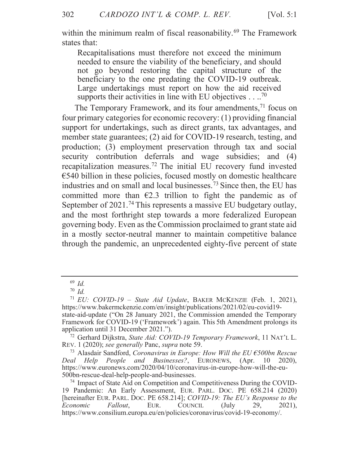within the minimum realm of fiscal reasonability.<sup>69</sup> The Framework states that:

Recapitalisations must therefore not exceed the minimum needed to ensure the viability of the beneficiary, and should not go beyond restoring the capital structure of the beneficiary to the one predating the COVID-19 outbreak. Large undertakings must report on how the aid received supports their activities in line with EU objectives  $\dots^{70}$ 

The Temporary Framework, and its four amendments,<sup>71</sup> focus on four primary categories for economic recovery: (1) providing financial support for undertakings, such as direct grants, tax advantages, and member state guarantees; (2) aid for COVID-19 research, testing, and production; (3) employment preservation through tax and social security contribution deferrals and wage subsidies; and (4) recapitalization measures.<sup>72</sup> The initial EU recovery fund invested  $\epsilon$ 540 billion in these policies, focused mostly on domestic healthcare industries and on small and local businesses.<sup>73</sup> Since then, the EU has committed more than  $\epsilon$ 2.3 trillion to fight the pandemic as of September of 2021.<sup>74</sup> This represents a massive EU budgetary outlay, and the most forthright step towards a more federalized European governing body. Even as the Commission proclaimed to grant state aid in a mostly sector-neutral manner to maintain competitive balance through the pandemic, an unprecedented eighty-five percent of state

 $69$  Id.

 $70$  Id.

<sup>&</sup>lt;sup>71</sup> EU: COVID-19 – State Aid Update, BAKER MCKENZIE (Feb. 1, 2021), https://www.bakermckenzie.com/en/insight/publications/2021/02/eu-covid19state-aid-update ("On 28 January 2021, the Commission amended the Temporary Framework for COVID-19 ('Framework') again. This 5th Amendment prolongs its application until 31 December 2021.").

<sup>72</sup> Gerhard Dijkstra, State Aid: COVID-19 Temporary Framework, 11 NAT'L L. REV. 1 (2020); see generally Panc, supra note 59.

<sup>&</sup>lt;sup>73</sup> Alasdair Sandford, *Coronavirus in Europe: How Will the EU*  $\epsilon$ *500bn Rescue* Deal Help People and Businesses?, EURONEWS,  $(Apr.$  $10\quad 2020$ ), https://www.euronews.com/2020/04/10/coronavirus-in-europe-how-will-the-eu-500bn-rescue-deal-help-people-and-businesses.

<sup>&</sup>lt;sup>74</sup> Impact of State Aid on Competition and Competitiveness During the COVID-19 Pandemic: An Early Assessment, EUR. PARL. DOC. PE 658.214 (2020) [hereinafter EUR. PARL. DOC. PE 658.214]; COVID-19: The EU's Response to the Fallout, EUR. COUNCIL  $(July)$ Economic 29,  $2021$ , https://www.consilium.europa.eu/en/policies/coronavirus/covid-19-economy/.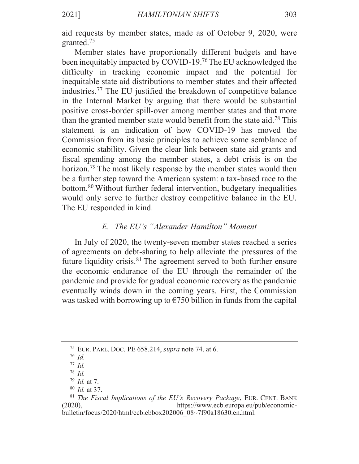aid requests by member states, made as of October 9, 2020, were granted. $75$ 

Member states have proportionally different budgets and have been inequitably impacted by COVID-19.<sup>76</sup> The EU acknowledged the difficulty in tracking economic impact and the potential for inequitable state aid distributions to member states and their affected industries.<sup>77</sup> The EU justified the breakdown of competitive balance in the Internal Market by arguing that there would be substantial positive cross-border spill-over among member states and that more than the granted member state would benefit from the state aid.<sup>78</sup> This statement is an indication of how COVID-19 has moved the Commission from its basic principles to achieve some semblance of economic stability. Given the clear link between state aid grants and fiscal spending among the member states, a debt crisis is on the horizon.<sup>79</sup> The most likely response by the member states would then be a further step toward the American system: a tax-based race to the bottom.<sup>80</sup> Without further federal intervention, budgetary inequalities would only serve to further destroy competitive balance in the EU. The EU responded in kind.

# E. The EU's "Alexander Hamilton" Moment

In July of 2020, the twenty-seven member states reached a series of agreements on debt-sharing to help alleviate the pressures of the future liquidity crisis.<sup>81</sup> The agreement served to both further ensure the economic endurance of the EU through the remainder of the pandemic and provide for gradual economic recovery as the pandemic eventually winds down in the coming years. First, the Commission was tasked with borrowing up to  $\epsilon$ 750 billion in funds from the capital

<sup>&</sup>lt;sup>75</sup> EUR. PARL. DOC. PE  $658.214$ , *supra* note 74, at 6.

 $76$  *Id.* 

 $77$  Id.  $78$  *Id.* 

 $^{79}$  *Id.* at 7.

 $80$  *Id.* at 37.

<sup>&</sup>lt;sup>81</sup> The Fiscal Implications of the EU's Recovery Package, EUR. CENT. BANK https://www.ecb.europa.eu/pub/economic- $(2020),$ bulletin/focus/2020/html/ecb.ebbox202006\_08~7f90a18630.en.html.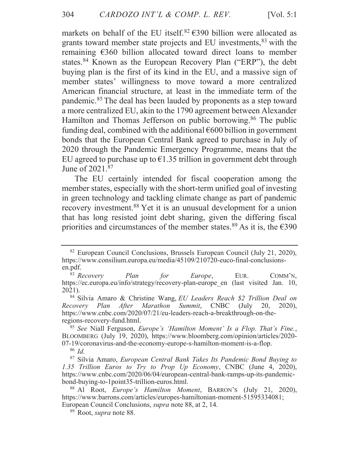markets on behalf of the EU itself.<sup>82</sup>  $\in$ 390 billion were allocated as grants toward member state projects and EU investments, <sup>83</sup> with the remaining  $\epsilon$ 360 billion allocated toward direct loans to member states.<sup>84</sup> Known as the European Recovery Plan ("ERP"), the debt buying plan is the first of its kind in the EU, and a massive sign of member states' willingness to move toward a more centralized American financial structure, at least in the immediate term of the pandemic.<sup>85</sup> The deal has been lauded by proponents as a step toward a more centralized EU, akin to the 1790 agreement between Alexander Hamilton and Thomas Jefferson on public borrowing.<sup>86</sup> The public funding deal, combined with the additional  $\epsilon$ 600 billion in government bonds that the European Central Bank agreed to purchase in July of 2020 through the Pandemic Emergency Programme, means that the EU agreed to purchase up to  $\epsilon$ 1.35 trillion in government debt through June of 2021.<sup>87</sup>

The EU certainly intended for fiscal cooperation among the member states, especially with the short-term unified goal of investing in green technology and tackling climate change as part of pandemic recovery investment.<sup>88</sup> Yet it is an unusual development for a union that has long resisted joint debt sharing, given the differing fiscal priorities and circumstances of the member states.<sup>89</sup> As it is, the  $\epsilon$ 390

<sup>&</sup>lt;sup>82</sup> European Council Conclusions, Brussels European Council (July 21, 2020), https://www.consilium.europa.eu/media/45109/210720-euco-final-conclusionsen.pdf.

<sup>&</sup>lt;sup>83</sup> Recovery Plan for Europe, EUR. COMM'N, https://ec.europa.eu/info/strategy/recovery-plan-europe en (last visited Jan. 10,  $2021$ ).

<sup>84</sup> Silvia Amaro & Christine Wang, EU Leaders Reach \$2 Trillion Deal on Recovery Plan After Marathon Summit, CNBC (July  $20, 2020,$ https://www.cnbc.com/2020/07/21/eu-leaders-reach-a-breakthrough-on-theregions-recovery-fund.html.

<sup>&</sup>lt;sup>85</sup> See Niall Ferguson, *Europe's 'Hamilton Moment' Is a Flop. That's Fine.*, BLOOMBERG (July 19, 2020), https://www.bloomberg.com/opinion/articles/2020-07-19/coronavirus-and-the-economy-europe-s-hamilton-moment-is-a-flop.

 $^{86}$   $\emph{Id.}$ 

<sup>&</sup>lt;sup>87</sup> Silvia Amaro, *European Central Bank Takes Its Pandemic Bond Buying to* 1.35 Trillion Euros to Try to Prop Up Economy, CNBC (June 4, 2020), https://www.cnbc.com/2020/06/04/european-central-bank-ramps-up-its-pandemicbond-buying-to-1point35-trillion-euros.html.

<sup>&</sup>lt;sup>88</sup> Al Root, *Europe's Hamilton Moment*, BARRON'S (July 21, 2020), https://www.barrons.com/articles/europes-hamiltonian-moment-51595334081; European Council Conclusions, *supra* note 88, at 2, 14.

<sup>&</sup>lt;sup>89</sup> Root, *supra* note 88.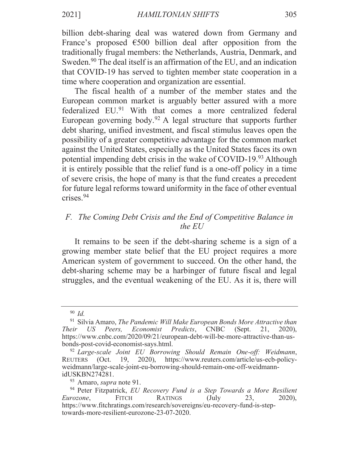billion debt-sharing deal was watered down from Germany and France's proposed  $\epsilon$ 500 billion deal after opposition from the traditionally frugal members: the Netherlands, Austria, Denmark, and Sweden.<sup>90</sup> The deal itself is an affirmation of the EU, and an indication that COVID-19 has served to tighten member state cooperation in a time where cooperation and organization are essential.

The fiscal health of a number of the member states and the European common market is arguably better assured with a more federalized EU.<sup>91</sup> With that comes a more centralized federal European governing body.<sup>92</sup> A legal structure that supports further debt sharing, unified investment, and fiscal stimulus leaves open the possibility of a greater competitive advantage for the common market against the United States, especially as the United States faces its own potential impending debt crisis in the wake of COVID-19.93 Although it is entirely possible that the relief fund is a one-off policy in a time of severe crisis, the hope of many is that the fund creates a precedent for future legal reforms toward uniformity in the face of other eventual  $crises.<sup>94</sup>$ 

# F. The Coming Debt Crisis and the End of Competitive Balance in the  $E U$

It remains to be seen if the debt-sharing scheme is a sign of a growing member state belief that the EU project requires a more American system of government to succeed. On the other hand, the debt-sharing scheme may be a harbinger of future fiscal and legal struggles, and the eventual weakening of the EU. As it is, there will

 $90$  *Id.* 

<sup>&</sup>lt;sup>91</sup> Silvia Amaro, The Pandemic Will Make European Bonds More Attractive than Their US Peers, Economist Predicts, CNBC (Sept.)  $21, 2020,$ https://www.cnbc.com/2020/09/21/european-debt-will-be-more-attractive-than-usbonds-post-covid-economist-says.html.

<sup>&</sup>lt;sup>92</sup> Large-scale Joint EU Borrowing Should Remain One-off: Weidmann, 19, 2020), https://www.reuters.com/article/us-ecb-policy-REUTERS (Oct. weidmann/large-scale-joint-eu-borrowing-should-remain-one-off-weidmannidUSKBN274281.

<sup>&</sup>lt;sup>93</sup> Amaro, *supra* note 91.

<sup>&</sup>lt;sup>94</sup> Peter Fitzpatrick, EU Recovery Fund is a Step Towards a More Resilient **FITCH** 23. Eurozone, RATINGS (July  $2020$ ), https://www.fitchratings.com/research/sovereigns/eu-recovery-fund-is-steptowards-more-resilient-eurozone-23-07-2020.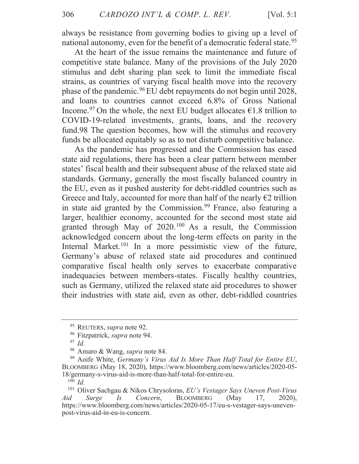[Vol.  $5:1$ 

always be resistance from governing bodies to giving up a level of national autonomy, even for the benefit of a democratic federal state.<sup>95</sup>

At the heart of the issue remains the maintenance and future of competitive state balance. Many of the provisions of the July 2020 stimulus and debt sharing plan seek to limit the immediate fiscal strains, as countries of varying fiscal health move into the recovery phase of the pandemic.<sup>96</sup> EU debt repayments do not begin until 2028, and loans to countries cannot exceed 6.8% of Gross National Income.<sup>97</sup> On the whole, the next EU budget allocates  $\epsilon$ 1.8 trillion to COVID-19-related investments, grants, loans, and the recovery fund.98 The question becomes, how will the stimulus and recovery funds be allocated equitably so as to not disturb competitive balance.

As the pandemic has progressed and the Commission has eased state aid regulations, there has been a clear pattern between member states' fiscal health and their subsequent abuse of the relaxed state aid standards. Germany, generally the most fiscally balanced country in the EU, even as it pushed austerity for debt-riddled countries such as Greece and Italy, accounted for more than half of the nearly  $\epsilon$ 2 trillion in state aid granted by the Commission.<sup>99</sup> France, also featuring a larger, healthier economy, accounted for the second most state aid granted through May of 2020.<sup>100</sup> As a result, the Commission acknowledged concern about the long-term effects on parity in the Internal Market.<sup>101</sup> In a more pessimistic view of the future, Germany's abuse of relaxed state aid procedures and continued comparative fiscal health only serves to exacerbate comparative inadequacies between members-states. Fiscally healthy countries, such as Germany, utilized the relaxed state aid procedures to shower their industries with state aid, even as other, debt-riddled countries

 $100$  *Id.* 

<sup>95</sup> REUTERS, *supra* note 92.

<sup>&</sup>lt;sup>96</sup> Fitzpatrick, *supra* note 94.

 $97$  Id.

<sup>98</sup> Amaro & Wang, *supra* note 84.

<sup>&</sup>lt;sup>99</sup> Aoife White, Germany's Virus Aid Is More Than Half Total for Entire EU, BLOOMBERG (May 18, 2020), https://www.bloomberg.com/news/articles/2020-05-18/germany-s-virus-aid-is-more-than-half-total-for-entire-eu.

<sup>&</sup>lt;sup>101</sup> Oliver Sachgau & Nikos Chrysoloras, EU's Vestager Says Uneven Post-Virus Surge  $I_{S}$ Concern, **BLOOMBERG** (May 17,  $2020$ ), Aid https://www.bloomberg.com/news/articles/2020-05-17/eu-s-vestager-says-unevenpost-virus-aid-in-eu-is-concern.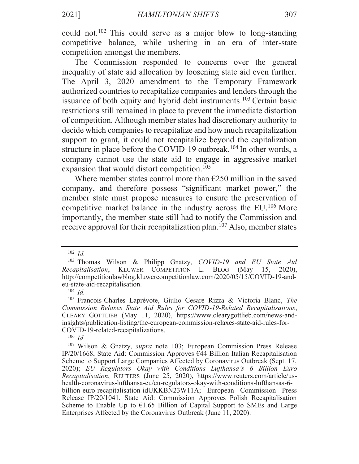could not.<sup>102</sup> This could serve as a major blow to long-standing competitive balance, while ushering in an era of inter-state competition amongst the members.

The Commission responded to concerns over the general inequality of state aid allocation by loosening state aid even further. The April 3, 2020 amendment to the Temporary Framework authorized countries to recapitalize companies and lenders through the issuance of both equity and hybrid debt instruments.<sup>103</sup> Certain basic restrictions still remained in place to prevent the immediate distortion of competition. Although member states had discretionary authority to decide which companies to recapitalize and how much recapitalization support to grant, it could not recapitalize beyond the capitalization structure in place before the COVID-19 outbreak.<sup>104</sup> In other words, a company cannot use the state aid to engage in aggressive market expansion that would distort competition.<sup>105</sup>

Where member states control more than  $\epsilon$ 250 million in the saved company, and therefore possess "significant market power," the member state must propose measures to ensure the preservation of competitive market balance in the industry across the EU.<sup>106</sup> More importantly, the member state still had to notify the Commission and receive approval for their recapitalization plan.<sup>107</sup> Also, member states

 $106$  *Id.* 

2021]

 $102$  *Id* 

<sup>&</sup>lt;sup>103</sup> Thomas Wilson & Philipp Gnatzy, *COVID-19* and *EU* State Aid Recapitalisation, KLUWER COMPETITION L. BLOG (May  $15, 2020,$ http://competitionlawblog.kluwercompetitionlaw.com/2020/05/15/COVID-19-andeu-state-aid-recapitalisation.

 $104$  *Id.* 

<sup>&</sup>lt;sup>105</sup> Francois-Charles Laprévote, Giulio Cesare Rizza & Victoria Blanc, The Commission Relaxes State Aid Rules for COVID-19-Related Recapitalisations, CLEARY GOTTLIEB (May 11, 2020), https://www.clearygottlieb.com/news-andinsights/publication-listing/the-european-commission-relaxes-state-aid-rules-for-COVID-19-related-recapitalizations.

<sup>&</sup>lt;sup>107</sup> Wilson & Gnatzy, *supra* note 103; European Commission Press Release IP/20/1668, State Aid: Commission Approves  $644$  Billion Italian Recapitalisation Scheme to Support Large Companies Affected by Coronavirus Outbreak (Sept. 17, 2020); EU Regulators Okay with Conditions Lufthansa's 6 Billion Euro Recapitalisation, REUTERS (June 25, 2020), https://www.reuters.com/article/ushealth-coronavirus-lufthansa-eu/eu-regulators-okay-with-conditions-lufthansas-6billion-euro-recapitalisation-idUKKBN23W11A; European Commission Press Release IP/20/1041, State Aid: Commission Approves Polish Recapitalisation Scheme to Enable Up to  $\epsilon$ 1.65 Billion of Capital Support to SMEs and Large Enterprises Affected by the Coronavirus Outbreak (June 11, 2020).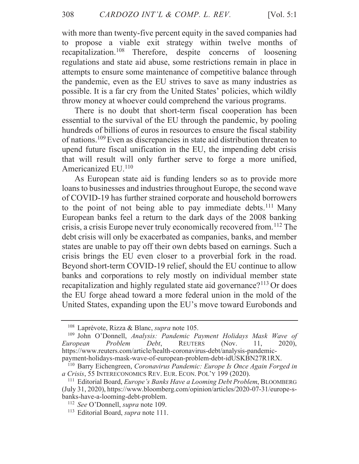with more than twenty-five percent equity in the saved companies had to propose a viable exit strategy within twelve months of recapitalization.<sup>108</sup> Therefore, despite concerns of loosening regulations and state aid abuse, some restrictions remain in place in attempts to ensure some maintenance of competitive balance through the pandemic, even as the EU strives to save as many industries as possible. It is a far cry from the United States' policies, which wildly throw money at whoever could comprehend the various programs.

There is no doubt that short-term fiscal cooperation has been essential to the survival of the EU through the pandemic, by pooling hundreds of billions of euros in resources to ensure the fiscal stability of nations.<sup>109</sup> Even as discrepancies in state aid distribution threaten to upend future fiscal unification in the EU, the impending debt crisis that will result will only further serve to forge a more unified, Americanized EU.<sup>110</sup>

As European state aid is funding lenders so as to provide more loans to businesses and industries throughout Europe, the second wave of COVID-19 has further strained corporate and household borrowers to the point of not being able to pay immediate debts.<sup>111</sup> Many European banks feel a return to the dark days of the 2008 banking crisis, a crisis Europe never truly economically recovered from.<sup>112</sup> The debt crisis will only be exacerbated as companies, banks, and member states are unable to pay off their own debts based on earnings. Such a crisis brings the EU even closer to a proverbial fork in the road. Beyond short-term COVID-19 relief, should the EU continue to allow banks and corporations to rely mostly on individual member state recapitalization and highly regulated state aid governance?<sup>113</sup> Or does the EU forge ahead toward a more federal union in the mold of the United States, expanding upon the EU's move toward Eurobonds and

<sup>&</sup>lt;sup>108</sup> Laprévote, Rizza & Blanc, *supra* note 105.

<sup>&</sup>lt;sup>109</sup> John O'Donnell, Analysis: Pandemic Payment Holidays Mask Wave of Problem Debt, **REUTERS** European (Nov. 11.  $2020$ ), https://www.reuters.com/article/health-coronavirus-debt/analysis-pandemicpayment-holidays-mask-wave-of-european-problem-debt-idUSKBN27R1RX.

<sup>&</sup>lt;sup>110</sup> Barry Eichengreen, Coronavirus Pandemic: Europe Is Once Again Forged in a Crisis, 55 INTERECONOMICS REV. EUR. ECON. POL'Y 199 (2020).

<sup>&</sup>lt;sup>111</sup> Editorial Board, *Europe's Banks Have a Looming Debt Problem*, BLOOMBERG (July 31, 2020), https://www.bloomberg.com/opinion/articles/2020-07-31/europe-sbanks-have-a-looming-debt-problem.

<sup>&</sup>lt;sup>112</sup> See O'Donnell, *supra* note 109.

<sup>&</sup>lt;sup>113</sup> Editorial Board, *supra* note 111.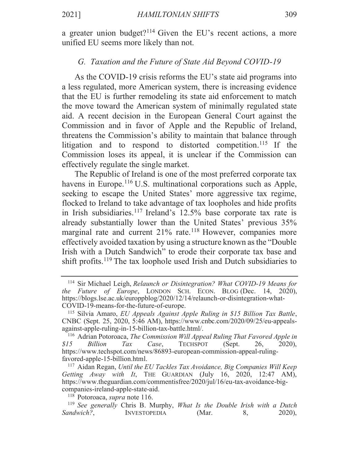a greater union budget?<sup>114</sup> Given the EU's recent actions, a more unified EU seems more likely than not.

### G. Taxation and the Future of State Aid Bevond COVID-19

As the COVID-19 crisis reforms the EU's state aid programs into a less regulated, more American system, there is increasing evidence that the EU is further remodeling its state aid enforcement to match the move toward the American system of minimally regulated state aid. A recent decision in the European General Court against the Commission and in favor of Apple and the Republic of Ireland, threatens the Commission's ability to maintain that balance through litigation and to respond to distorted competition.<sup>115</sup> If the Commission loses its appeal, it is unclear if the Commission can effectively regulate the single market.

The Republic of Ireland is one of the most preferred corporate tax havens in Europe.<sup>116</sup> U.S. multinational corporations such as Apple, seeking to escape the United States' more aggressive tax regime, flocked to Ireland to take advantage of tax loopholes and hide profits in Irish subsidiaries.<sup>117</sup> Ireland's 12.5% base corporate tax rate is already substantially lower than the United States' previous 35% marginal rate and current 21% rate.<sup>118</sup> However, companies more effectively avoided taxation by using a structure known as the "Double" Irish with a Dutch Sandwich" to erode their corporate tax base and shift profits.<sup>119</sup> The tax loophole used Irish and Dutch subsidiaries to

<sup>&</sup>lt;sup>114</sup> Sir Michael Leigh, Relaunch or Disintegration? What COVID-19 Means for the Future of Europe, LONDON SCH. ECON. BLOG (Dec. 14, 2020), https://blogs.lse.ac.uk/europpblog/2020/12/14/relaunch-or-disintegration-what-COVID-19-means-for-the-future-of-europe.

<sup>&</sup>lt;sup>115</sup> Silvia Amaro, *EU Appeals Against Apple Ruling in \$15 Billion Tax Battle*, CNBC (Sept. 25, 2020, 5:46 AM), https://www.cnbc.com/2020/09/25/eu-appealsagainst-apple-ruling-in-15-billion-tax-battle.html/.

<sup>&</sup>lt;sup>116</sup> Adrian Potoroaca, The Commission Will Appeal Ruling That Favored Apple in  $$15$ **Billion**  $\int\!$ Case, **TECHSPOT** (Sept. 26,  $2020$ ), https://www.techspot.com/news/86893-european-commission-appeal-rulingfavored-apple-15-billion.html.

 $117$  Aidan Regan, Until the EU Tackles Tax Avoidance, Big Companies Will Keep Getting Away with It, THE GUARDIAN (July 16, 2020, 12:47 AM), https://www.theguardian.com/commentisfree/2020/jul/16/eu-tax-avoidance-bigcompanies-ireland-apple-state-aid.

<sup>&</sup>lt;sup>118</sup> Potoroaca, *supra* note 116.

<sup>&</sup>lt;sup>119</sup> See generally Chris B. Murphy, What Is the Double Irish with a Dutch Sandwich?, **INVESTOPEDIA** (Mar. 8,  $2020$ ),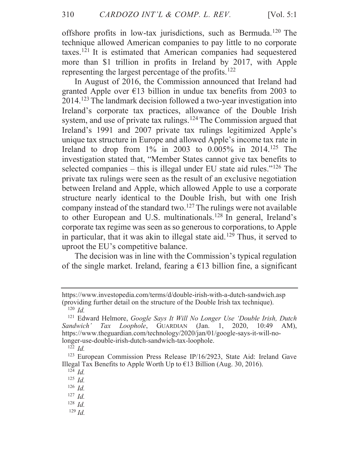offshore profits in low-tax jurisdictions, such as Bermuda.<sup>120</sup> The technique allowed American companies to pay little to no corporate taxes.<sup>121</sup> It is estimated that American companies had sequestered more than \$1 trillion in profits in Ireland by 2017, with Apple representing the largest percentage of the profits.<sup>122</sup>

In August of 2016, the Commission announced that Ireland had granted Apple over  $\epsilon$ 13 billion in undue tax benefits from 2003 to 2014.<sup>123</sup> The landmark decision followed a two-year investigation into Ireland's corporate tax practices, allowance of the Double Irish system, and use of private tax rulings.<sup>124</sup> The Commission argued that Ireland's 1991 and 2007 private tax rulings legitimized Apple's unique tax structure in Europe and allowed Apple's income tax rate in Ireland to drop from  $1\%$  in 2003 to 0.005% in 2014.<sup>125</sup> The investigation stated that, "Member States cannot give tax benefits to selected companies – this is illegal under EU state aid rules." $126$  The private tax rulings were seen as the result of an exclusive negotiation between Ireland and Apple, which allowed Apple to use a corporate structure nearly identical to the Double Irish, but with one Irish company instead of the standard two.<sup>127</sup> The rulings were not available to other European and U.S. multinationals.<sup>128</sup> In general, Ireland's corporate tax regime was seen as so generous to corporations, to Apple in particular, that it was akin to illegal state aid.<sup>129</sup> Thus, it served to uproot the EU's competitive balance.

The decision was in line with the Commission's typical regulation of the single market. Ireland, fearing a  $\epsilon$ 13 billion fine, a significant

 $129$  *Id.* 

https://www.investopedia.com/terms/d/double-irish-with-a-dutch-sandwich.asp (providing further detail on the structure of the Double Irish tax technique).  $120$  *Id.* 

<sup>&</sup>lt;sup>121</sup> Edward Helmore, Google Says It Will No Longer Use 'Double Irish, Dutch Tax Loophole, GUARDIAN  $\pi$  (Jan. 1, 2020, 10:49 AM), Sandwich' https://www.theguardian.com/technology/2020/jan/01/google-says-it-will-nolonger-use-double-irish-dutch-sandwich-tax-loophole.

 $122 \, Id.$ 

<sup>&</sup>lt;sup>123</sup> European Commission Press Release IP/16/2923, State Aid: Ireland Gave Illegal Tax Benefits to Apple Worth Up to  $\epsilon$ 13 Billion (Aug. 30, 2016).

 $124$  *Id.* 

 $125$  *Id.* 

 $126$  *Id.* 

 $127$  *Id.* 

 $128$  *Id.*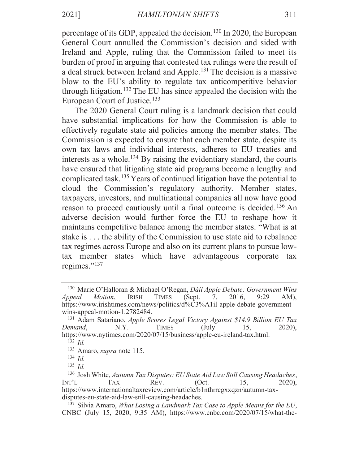percentage of its GDP, appealed the decision.<sup>130</sup> In 2020, the European General Court annulled the Commission's decision and sided with Ireland and Apple, ruling that the Commission failed to meet its burden of proof in arguing that contested tax rulings were the result of a deal struck between Ireland and Apple.<sup>131</sup> The decision is a massive blow to the EU's ability to regulate tax anticompetitive behavior through litigation.<sup>132</sup> The EU has since appealed the decision with the European Court of Justice.<sup>133</sup>

The 2020 General Court ruling is a landmark decision that could have substantial implications for how the Commission is able to effectively regulate state aid policies among the member states. The Commission is expected to ensure that each member state, despite its own tax laws and individual interests, adheres to EU treaties and interests as a whole.<sup>134</sup> By raising the evidentiary standard, the courts have ensured that litigating state aid programs become a lengthy and complicated task.<sup>135</sup> Years of continued litigation have the potential to cloud the Commission's regulatory authority. Member states, taxpayers, investors, and multinational companies all now have good reason to proceed cautiously until a final outcome is decided.<sup>136</sup> An adverse decision would further force the EU to reshape how it maintains competitive balance among the member states. "What is at stake is . . . the ability of the Commission to use state aid to rebalance tax regimes across Europe and also on its current plans to pursue lowtax member states which have advantageous corporate tax regimes."<sup>137</sup>

<sup>&</sup>lt;sup>130</sup> Marie O'Halloran & Michael O'Regan, *Dáil Apple Debate: Government Wins* Motion, **IRISH TIMES** (Sept. Appeal 7, 2016,  $9:29$  $AM$ ). https://www.irishtimes.com/news/politics/d%C3%A1il-apple-debate-governmentwins-appeal-motion-1.2782484.

<sup>&</sup>lt;sup>131</sup> Adam Satariano, *Apple Scores Legal Victory Against \$14.9 Billion EU Tax* Demand.  $N.Y.$ **TIMES**  $(\mathrm{July}$ 15,  $2020$ ). https://www.nytimes.com/2020/07/15/business/apple-eu-ireland-tax.html.

 $132 \text{ Id.}$ 

<sup>&</sup>lt;sup>133</sup> Amaro, *supra* note 115.

 $134$  *Id.* 

 $^{135}$  *Id* 

<sup>&</sup>lt;sup>136</sup> Josh White, Autumn Tax Disputes: EU State Aid Law Still Causing Headaches, Int'l **TAX** REV.  $(Oct.$ 15.  $2020$ ), https://www.internationaltaxreview.com/article/b1nthrrcgxxqzn/autumn-taxdisputes-eu-state-aid-law-still-causing-headaches.

 $137$  Silvia Amaro, What Losing a Landmark Tax Case to Apple Means for the EU, CNBC (July 15, 2020, 9:35 AM), https://www.cnbc.com/2020/07/15/what-the-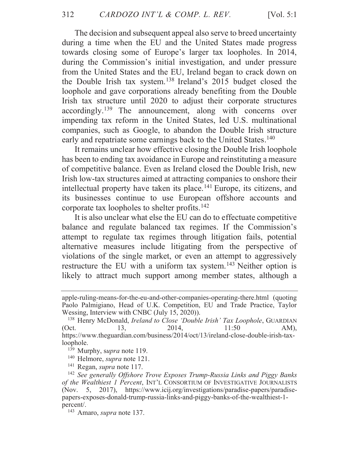The decision and subsequent appeal also serve to breed uncertainty during a time when the EU and the United States made progress towards closing some of Europe's larger tax loopholes. In 2014, during the Commission's initial investigation, and under pressure from the United States and the EU, Ireland began to crack down on the Double Irish tax system.<sup>138</sup> Ireland's 2015 budget closed the loophole and gave corporations already benefiting from the Double Irish tax structure until 2020 to adjust their corporate structures accordingly.<sup>139</sup> The announcement, along with concerns over impending tax reform in the United States, led U.S. multinational companies, such as Google, to abandon the Double Irish structure early and repatriate some earnings back to the United States.<sup>140</sup>

It remains unclear how effective closing the Double Irish loophole has been to ending tax avoidance in Europe and reinstituting a measure of competitive balance. Even as Ireland closed the Double Irish, new Irish low-tax structures aimed at attracting companies to onshore their intellectual property have taken its place.<sup>141</sup> Europe, its citizens, and its businesses continue to use European offshore accounts and corporate tax loopholes to shelter profits.<sup>142</sup>

It is also unclear what else the EU can do to effectuate competitive balance and regulate balanced tax regimes. If the Commission's attempt to regulate tax regimes through litigation fails, potential alternative measures include litigating from the perspective of violations of the single market, or even an attempt to aggressively restructure the EU with a uniform tax system.<sup>143</sup> Neither option is likely to attract much support among member states, although a

apple-ruling-means-for-the-eu-and-other-companies-operating-there.html (quoting Paolo Palmigiano, Head of U.K. Competition, EU and Trade Practice, Taylor Wessing, Interview with CNBC (July 15, 2020)).

<sup>&</sup>lt;sup>138</sup> Henry McDonald, *Ireland to Close 'Double Irish' Tax Loophole*, GUARDIAN  $(Oct.$ 13. 2014,  $11:50$  $AM$ ). https://www.theguardian.com/business/2014/oct/13/ireland-close-double-irish-taxloophole.

<sup>&</sup>lt;sup>139</sup> Murphy, supra note 119.

 $140$  Helmore, *supra* note 121.

 $141$  Regan, *supra* note 117.

<sup>&</sup>lt;sup>142</sup> See generally Offshore Trove Exposes Trump-Russia Links and Piggy Banks of the Wealthiest 1 Percent, INT'L CONSORTIUM OF INVESTIGATIVE JOURNALISTS (Nov. 5, 2017), https://www.icij.org/investigations/paradise-papers/paradisepapers-exposes-donald-trump-russia-links-and-piggy-banks-of-the-wealthiest-1percent/.

<sup>&</sup>lt;sup>143</sup> Amaro, *supra* note 137.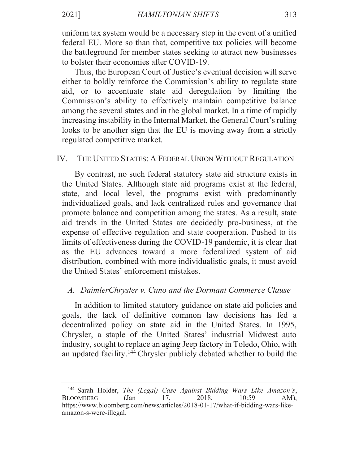uniform tax system would be a necessary step in the event of a unified federal EU. More so than that, competitive tax policies will become the battleground for member states seeking to attract new businesses to bolster their economies after COVID-19.

Thus, the European Court of Justice's eventual decision will serve either to boldly reinforce the Commission's ability to regulate state aid, or to accentuate state aid deregulation by limiting the Commission's ability to effectively maintain competitive balance among the several states and in the global market. In a time of rapidly increasing instability in the Internal Market, the General Court's ruling looks to be another sign that the EU is moving away from a strictly regulated competitive market.

### $IV.$ THE UNITED STATES: A FEDERAL UNION WITHOUT REGULATION

By contrast, no such federal statutory state aid structure exists in the United States. Although state aid programs exist at the federal, state, and local level, the programs exist with predominantly individualized goals, and lack centralized rules and governance that promote balance and competition among the states. As a result, state aid trends in the United States are decidedly pro-business, at the expense of effective regulation and state cooperation. Pushed to its limits of effectiveness during the COVID-19 pandemic, it is clear that as the EU advances toward a more federalized system of aid distribution, combined with more individualistic goals, it must avoid the United States' enforcement mistakes.

## A. DaimlerChrysler v. Cuno and the Dormant Commerce Clause

In addition to limited statutory guidance on state aid policies and goals, the lack of definitive common law decisions has fed a decentralized policy on state aid in the United States. In 1995, Chrysler, a staple of the United States' industrial Midwest auto industry, sought to replace an aging Jeep factory in Toledo, Ohio, with an updated facility.<sup>144</sup> Chrysler publicly debated whether to build the

<sup>&</sup>lt;sup>144</sup> Sarah Holder, The (Legal) Case Against Bidding Wars Like Amazon's, **BLOOMBERG**  $(Jan)$ 17, 2018, 10:59  $AM$ ), https://www.bloomberg.com/news/articles/2018-01-17/what-if-bidding-wars-likeamazon-s-were-illegal.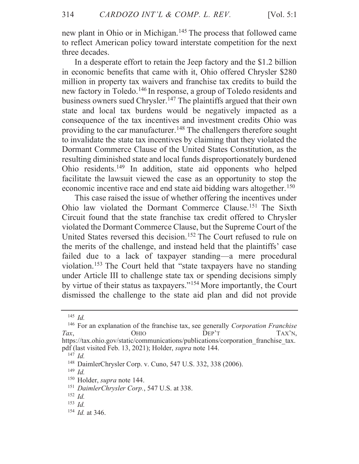[Vol.  $5:1$ ]

new plant in Ohio or in Michigan.<sup>145</sup> The process that followed came to reflect American policy toward interstate competition for the next three decades.

In a desperate effort to retain the Jeep factory and the \$1.2 billion in economic benefits that came with it, Ohio offered Chrysler \$280 million in property tax waivers and franchise tax credits to build the new factory in Toledo.<sup>146</sup> In response, a group of Toledo residents and business owners sued Chrysler.<sup>147</sup> The plaintiffs argued that their own state and local tax burdens would be negatively impacted as a consequence of the tax incentives and investment credits Ohio was providing to the car manufacturer.<sup>148</sup> The challengers therefore sought to invalidate the state tax incentives by claiming that they violated the Dormant Commerce Clause of the United States Constitution, as the resulting diminished state and local funds disproportionately burdened Ohio residents.<sup>149</sup> In addition, state aid opponents who helped facilitate the lawsuit viewed the case as an opportunity to stop the economic incentive race and end state aid bidding wars altogether.<sup>150</sup>

This case raised the issue of whether offering the incentives under Ohio law violated the Dormant Commerce Clause.<sup>151</sup> The Sixth Circuit found that the state franchise tax credit offered to Chrysler violated the Dormant Commerce Clause, but the Supreme Court of the United States reversed this decision.<sup>152</sup> The Court refused to rule on the merits of the challenge, and instead held that the plaintiffs' case failed due to a lack of taxpayer standing—a mere procedural violation.<sup>153</sup> The Court held that "state taxpayers have no standing under Article III to challenge state tax or spending decisions simply by virtue of their status as taxpayers."<sup>154</sup> More importantly, the Court dismissed the challenge to the state aid plan and did not provide

 $^{145}$  *Id.* 

 $146$  For an explanation of the franchise tax, see generally *Corporation Franchise*  $DEF^{\prime}T$ Tax. **OHIO** TAX'N. https://tax.ohio.gov/static/communications/publications/corporation franchise tax. pdf (last visited Feb. 13, 2021); Holder, *supra* note 144.

 $^{147}$  *Id.* 

<sup>&</sup>lt;sup>148</sup> DaimlerChrysler Corp. v. Cuno, 547 U.S. 332, 338 (2006).

 $^{149}$  *Id.* 

<sup>&</sup>lt;sup>150</sup> Holder, *supra* note 144.

<sup>&</sup>lt;sup>151</sup> DaimlerChrysler Corp., 547 U.S. at 338.

 $152$  *Id.* 

 $153$  *Id.* 

 $154$  *Id.* at 346.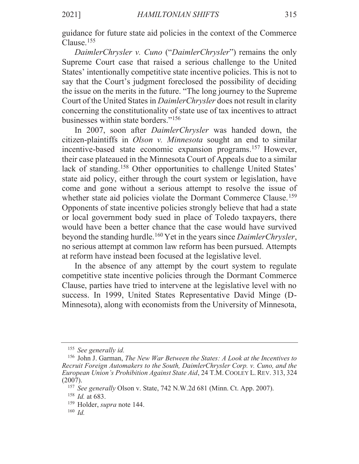guidance for future state aid policies in the context of the Commerce Clause. $155$ 

*DaimlerChrysler v. Cuno* ("*DaimlerChrysler*") remains the only Supreme Court case that raised a serious challenge to the United States' intentionally competitive state incentive policies. This is not to say that the Court's judgment foreclosed the possibility of deciding the issue on the merits in the future. "The long journey to the Supreme Court of the United States in *DaimlerChrysler* does not result in clarity concerning the constitutionality of state use of tax incentives to attract businesses within state borders." $156$ 

In 2007, soon after *DaimlerChrysler* was handed down, the citizen-plaintiffs in Olson v. Minnesota sought an end to similar incentive-based state economic expansion programs.<sup>157</sup> However, their case plateaued in the Minnesota Court of Appeals due to a similar lack of standing.<sup>158</sup> Other opportunities to challenge United States' state aid policy, either through the court system or legislation, have come and gone without a serious attempt to resolve the issue of whether state aid policies violate the Dormant Commerce Clause.<sup>159</sup> Opponents of state incentive policies strongly believe that had a state or local government body sued in place of Toledo taxpayers, there would have been a better chance that the case would have survived beyond the standing hurdle.<sup>160</sup> Yet in the years since *DaimlerChrysler*, no serious attempt at common law reform has been pursued. Attempts at reform have instead been focused at the legislative level.

In the absence of any attempt by the court system to regulate competitive state incentive policies through the Dormant Commerce Clause, parties have tried to intervene at the legislative level with no success. In 1999, United States Representative David Minge (D-Minnesota), along with economists from the University of Minnesota,

*See generally id.*

<sup>&</sup>lt;sup>156</sup> John J. Garman, *The New War Between the States: A Look at the Incentives to Recruit Foreign Automakers to the South, DaimlerChrysler Corp. v. Cuno, and the European Union's Prohibition Against State Aid, 24 T.M. COOLEY L. REV.* 313, 324  $(2007).$ 

<sup>&</sup>lt;sup>157</sup> See generally Olson v. State, 742 N.W.2d 681 (Minn. Ct. App. 2007).

<sup>&</sup>lt;sup>158</sup> *Id.* at 683.

<sup>&</sup>lt;sup>159</sup> Holder, *supra* note 144.

*Id.*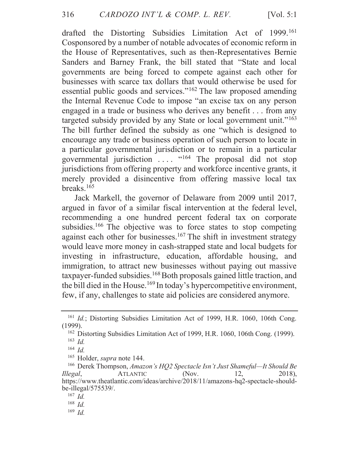drafted the Distorting Subsidies Limitation Act of 1999.<sup>161</sup> Cosponsored by a number of notable advocates of economic reform in the House of Representatives, such as then-Representatives Bernie Sanders and Barney Frank, the bill stated that "State and local governments are being forced to compete against each other for businesses with scarce tax dollars that would otherwise be used for essential public goods and services."<sup>162</sup> The law proposed amending the Internal Revenue Code to impose "an excise tax on any person engaged in a trade or business who derives any benefit . . . from any targeted subsidy provided by any State or local government unit."<sup>163</sup> The bill further defined the subsidy as one "which is designed to encourage any trade or business operation of such person to locate in a particular governmental jurisdiction or to remain in a particular governmental jurisdiction .... "164 The proposal did not stop jurisdictions from offering property and workforce incentive grants, it merely provided a disincentive from offering massive local tax breaks. $165$ 

Jack Markell, the governor of Delaware from 2009 until 2017, argued in favor of a similar fiscal intervention at the federal level, recommending a one hundred percent federal tax on corporate subsidies.<sup>166</sup> The objective was to force states to stop competing against each other for businesses.<sup>167</sup> The shift in investment strategy would leave more money in cash-strapped state and local budgets for investing in infrastructure, education, affordable housing, and immigration, to attract new businesses without paying out massive taxpayer-funded subsidies.<sup>168</sup> Both proposals gained little traction, and the bill died in the House.<sup>169</sup> In today's hypercompetitive environment, few, if any, challenges to state aid policies are considered anymore.

<sup>&</sup>lt;sup>161</sup> Id.; Distorting Subsidies Limitation Act of 1999, H.R. 1060, 106th Cong.  $(1999)$ .

<sup>&</sup>lt;sup>162</sup> Distorting Subsidies Limitation Act of 1999, H.R. 1060, 106th Cong. (1999).  $^{163}$  *Id.* 

 $164$  *Id.* 

<sup>&</sup>lt;sup>165</sup> Holder, *supra* note 144.

<sup>&</sup>lt;sup>166</sup> Derek Thompson, Amazon's HQ2 Spectacle Isn't Just Shameful—It Should Be **ATLANTIC** 2018). Illegal, (Nov. 12. https://www.theatlantic.com/ideas/archive/2018/11/amazons-hq2-spectacle-shouldbe-illegal $/575539/$ .

 $167$  *Id.* 

 $168$  *Id.* 

 $169$  *Id.*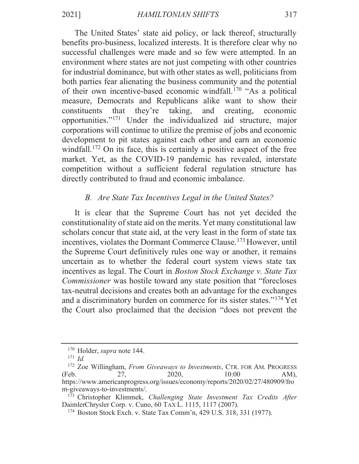The United States' state aid policy, or lack thereof, structurally benefits pro-business, localized interests. It is therefore clear why no successful challenges were made and so few were attempted. In an environment where states are not just competing with other countries for industrial dominance, but with other states as well, politicians from both parties fear alienating the business community and the potential of their own incentive-based economic windfall.<sup>170</sup> "As a political measure, Democrats and Republicans alike want to show their constituents that they're taking, and creating. economic opportunities."<sup>171</sup> Under the individualized aid structure, major corporations will continue to utilize the premise of jobs and economic development to pit states against each other and earn an economic windfall.<sup>172</sup> On its face, this is certainly a positive aspect of the free market. Yet, as the COVID-19 pandemic has revealed, interstate competition without a sufficient federal regulation structure has directly contributed to fraud and economic imbalance.

# B. Are State Tax Incentives Legal in the United States?

It is clear that the Supreme Court has not yet decided the constitutionality of state aid on the merits. Yet many constitutional law scholars concur that state aid, at the very least in the form of state tax incentives, violates the Dormant Commerce Clause.<sup>173</sup> However, until the Supreme Court definitively rules one way or another, it remains uncertain as to whether the federal court system views state tax incentives as legal. The Court in *Boston Stock Exchange v. State Tax Commissioner* was hostile toward any state position that "forecloses" tax-neutral decisions and creates both an advantage for the exchanges and a discriminatory burden on commerce for its sister states."<sup>174</sup> Yet the Court also proclaimed that the decision "does not prevent the

<sup>&</sup>lt;sup>170</sup> Holder, *supra* note 144.

 $171$  *Id.* 

<sup>&</sup>lt;sup>172</sup> Zoe Willingham, From Giveaways to Investments, CTR. FOR AM. PROGRESS  $10:00$ (Feb. 27, 2020.  $AM$ ), https://www.americanprogress.org/issues/economy/reports/2020/02/27/480909/fro m-giveaways-to-investments/.

<sup>&</sup>lt;sup>173</sup> Christopher Klimmek, Challenging State Investment Tax Credits After DaimlerChrysler Corp. v. Cuno, 60 TAX L. 1115, 1117 (2007).

<sup>&</sup>lt;sup>174</sup> Boston Stock Exch. v. State Tax Comm'n, 429 U.S. 318, 331 (1977).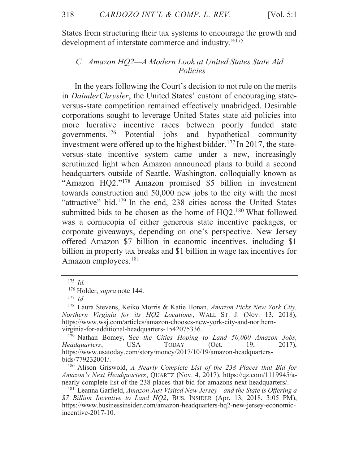States from structuring their tax systems to encourage the growth and development of interstate commerce and industry."<sup>175</sup>

### C. Amazon HQ2-A Modern Look at United States State Aid Policies

In the years following the Court's decision to not rule on the merits in DaimlerChrysler, the United States' custom of encouraging stateversus-state competition remained effectively unabridged. Desirable corporations sought to leverage United States state aid policies into more lucrative incentive races between poorly funded state governments.<sup>176</sup> Potential jobs and hypothetical community investment were offered up to the highest bidder.<sup>177</sup> In 2017, the stateversus-state incentive system came under a new, increasingly scrutinized light when Amazon announced plans to build a second headquarters outside of Seattle, Washington, colloquially known as "Amazon HQ2."<sup>178</sup> Amazon promised \$5 billion in investment towards construction and 50,000 new jobs to the city with the most "attractive" bid.<sup>179</sup> In the end, 238 cities across the United States submitted bids to be chosen as the home of HQ2.<sup>180</sup> What followed was a cornucopia of either generous state incentive packages, or corporate giveaways, depending on one's perspective. New Jersey offered Amazon \$7 billion in economic incentives, including \$1 billion in property tax breaks and \$1 billion in wage tax incentives for Amazon employees.<sup>181</sup>

 $175$  *Id.* 

<sup>&</sup>lt;sup>176</sup> Holder, *supra* note 144.

 $177$  *Id.* 

<sup>&</sup>lt;sup>178</sup> Laura Stevens, Keiko Morris & Katie Honan, Amazon Picks New York City, Northern Virginia for its HQ2 Locations, WALL ST. J. (Nov. 13, 2018), https://www.wsj.com/articles/amazon-chooses-new-york-city-and-northernvirginia-for-additional-headquarters-1542075336.

<sup>&</sup>lt;sup>179</sup> Nathan Bomey, See the Cities Hoping to Land 50,000 Amazon Jobs, Headquarters, **USA TODAY**  $(Oct.$ 19,  $2017$ , https://www.usatoday.com/story/money/2017/10/19/amazon-headquartersbids/779232001/.

 $180$  Alison Griswold, A Nearly Complete List of the 238 Places that Bid for Amazon's Next Headquarters, QUARTZ (Nov. 4, 2017), https://qz.com/1119945/anearly-complete-list-of-the-238-places-that-bid-for-amazons-next-headquarters/.

<sup>&</sup>lt;sup>181</sup> Leanna Garfield, Amazon Just Visited New Jersey—and the State is Offering a \$7 Billion Incentive to Land HQ2, BUS. INSIDER (Apr. 13, 2018, 3:05 PM), https://www.businessinsider.com/amazon-headquarters-hq2-new-jersey-economicincentive-2017-10.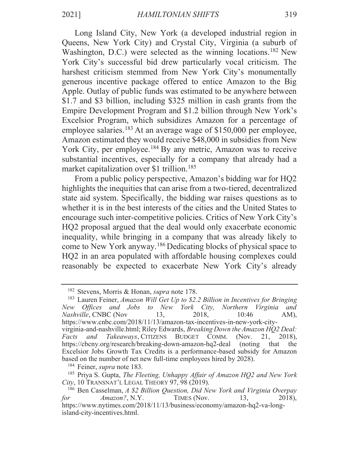Long Island City, New York (a developed industrial region in Queens, New York City) and Crystal City, Virginia (a suburb of Washington, D.C.) were selected as the winning locations.<sup>182</sup> New York City's successful bid drew particularly vocal criticism. The harshest criticism stemmed from New York City's monumentally generous incentive package offered to entice Amazon to the Big Apple. Outlay of public funds was estimated to be anywhere between \$1.7 and \$3 billion, including \$325 million in cash grants from the Empire Development Program and \$1.2 billion through New York's Excelsior Program, which subsidizes Amazon for a percentage of employee salaries.<sup>183</sup> At an average wage of \$150,000 per employee, Amazon estimated they would receive \$48,000 in subsidies from New York City, per employee.<sup>184</sup> By any metric, Amazon was to receive substantial incentives, especially for a company that already had a market capitalization over \$1 trillion.<sup>185</sup>

From a public policy perspective, Amazon's bidding war for HQ2 highlights the inequities that can arise from a two-tiered, decentralized state aid system. Specifically, the bidding war raises questions as to whether it is in the best interests of the cities and the United States to encourage such inter-competitive policies. Critics of New York City's HQ2 proposal argued that the deal would only exacerbate economic inequality, while bringing in a company that was already likely to come to New York anyway.<sup>186</sup> Dedicating blocks of physical space to HQ2 in an area populated with affordable housing complexes could reasonably be expected to exacerbate New York City's already

<sup>&</sup>lt;sup>182</sup> Stevens, Morris & Honan, *supra* note 178.

 $183$  Lauren Feiner, Amazon Will Get Up to \$2.2 Billion in Incentives for Bringing New Offices and Jobs to New York City, Northern Virginia and Nashville, CNBC (Nov 13, 2018.  $10:46$  $AM$ ). https://www.cnbc.com/2018/11/13/amazon-tax-incentives-in-new-york-cityvirginia-and-nashville.html; Riley Edwards, Breaking Down the Amazon HQ2 Deal: Takeaways, CITIZENS BUDGET COMM. Facts and (Nov. 21, 2018), https://cbcny.org/research/breaking-down-amazon-hq2-deal (noting that the Excelsior Jobs Growth Tax Credits is a performance-based subsidy for Amazon based on the number of net new full-time employees hired by 2028).

<sup>&</sup>lt;sup>184</sup> Feiner, *supra* note 183.

<sup>&</sup>lt;sup>185</sup> Priya S. Gupta, *The Fleeting*, *Unhappy Affair of Amazon HQ2 and New York* City, 10 TRANSNAT'L LEGAL THEORY 97, 98 (2019).

<sup>&</sup>lt;sup>186</sup> Ben Casselman, A \$2 Billion Question, Did New York and Virginia Overpay Amazon?, N.Y. TIMES (Nov. 13. 2018), for https://www.nytimes.com/2018/11/13/business/economy/amazon-hq2-va-longisland-city-incentives.html.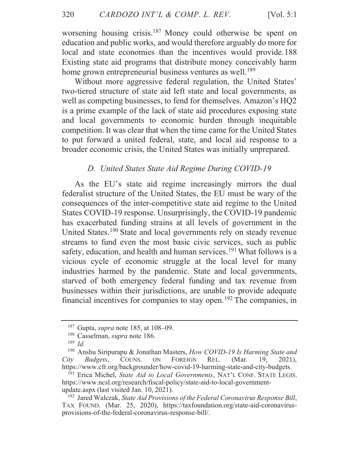[Vol.  $5:1$ ]

worsening housing crisis.<sup>187</sup> Money could otherwise be spent on education and public works, and would therefore arguably do more for local and state economies than the incentives would provide.188 Existing state aid programs that distribute money conceivably harm home grown entrepreneurial business ventures as well.<sup>189</sup>

Without more aggressive federal regulation, the United States' two-tiered structure of state aid left state and local governments, as well as competing businesses, to fend for themselves. Amazon's HQ2 is a prime example of the lack of state aid procedures exposing state and local governments to economic burden through inequitable competition. It was clear that when the time came for the United States to put forward a united federal, state, and local aid response to a broader economic crisis, the United States was initially unprepared.

# D. United States State Aid Regime During COVID-19

As the EU's state aid regime increasingly mirrors the dual federalist structure of the United States, the EU must be wary of the consequences of the inter-competitive state aid regime to the United States COVID-19 response. Unsurprisingly, the COVID-19 pandemic has exacerbated funding strains at all levels of government in the United States.<sup>190</sup> State and local governments rely on steady revenue streams to fund even the most basic civic services, such as public safety, education, and health and human services.<sup>191</sup> What follows is a vicious cycle of economic struggle at the local level for many industries harmed by the pandemic. State and local governments, starved of both emergency federal funding and tax revenue from businesses within their jurisdictions, are unable to provide adequate financial incentives for companies to stay open.<sup>192</sup> The companies, in

 $187$  Gupta, *supra* note 185, at 108–09.

<sup>&</sup>lt;sup>188</sup> Casselman, *supra* note 186.

 $189$  *Id.* 

<sup>&</sup>lt;sup>190</sup> Anshu Siripurapu & Jonathan Masters, How COVID-19 Is Harming State and **FOREIGN** City Budgets, COUNS.  $\mathop{\rm ON}\nolimits$ REL. (Mar. 19. 2021), https://www.cfr.org/backgrounder/how-covid-19-harming-state-and-city-budgets.

<sup>&</sup>lt;sup>191</sup> Erica Michel, State Aid to Local Governments, NAT'L CONF. STATE LEGIS. https://www.ncsl.org/research/fiscal-policy/state-aid-to-local-governmentupdate.aspx (last visited Jan. 10, 2021).

<sup>&</sup>lt;sup>192</sup> Jared Walczak, State Aid Provisions of the Federal Coronavirus Response Bill, TAX FOUND. (Mar. 25, 2020), https://taxfoundation.org/state-aid-coronavirusprovisions-of-the-federal-coronavirus-response-bill/.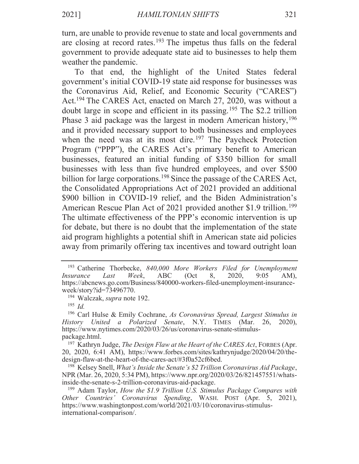turn, are unable to provide revenue to state and local governments and are closing at record rates.<sup>193</sup> The impetus thus falls on the federal government to provide adequate state aid to businesses to help them weather the pandemic.

To that end, the highlight of the United States federal government's initial COVID-19 state aid response for businesses was the Coronavirus Aid, Relief, and Economic Security ("CARES") Act.<sup>194</sup> The CARES Act, enacted on March 27, 2020, was without a doubt large in scope and efficient in its passing.<sup>195</sup> The \$2.2 trillion Phase 3 aid package was the largest in modern American history,  $196$ and it provided necessary support to both businesses and employees when the need was at its most dire.<sup>197</sup> The Paycheck Protection Program ("PPP"), the CARES Act's primary benefit to American businesses, featured an initial funding of \$350 billion for small businesses with less than five hundred employees, and over \$500 billion for large corporations.<sup>198</sup> Since the passage of the CARES Act, the Consolidated Appropriations Act of 2021 provided an additional \$900 billion in COVID-19 relief, and the Biden Administration's American Rescue Plan Act of 2021 provided another \$1.9 trillion.<sup>199</sup> The ultimate effectiveness of the PPP's economic intervention is up for debate, but there is no doubt that the implementation of the state aid program highlights a potential shift in American state aid policies away from primarily offering tax incentives and toward outright loan

<sup>&</sup>lt;sup>193</sup> Catherine Thorbecke, 840,000 More Workers Filed for Unemployment *Insurance* Last Week. **ABC**  $(Oct)$ 8, 2020.  $9:05$  $AM$ ). https://abcnews.go.com/Business/840000-workers-filed-unemployment-insuranceweek/story?id=73496770.

<sup>&</sup>lt;sup>194</sup> Walczak, *supra* note 192.

 $195$  *Id.* 

<sup>&</sup>lt;sup>196</sup> Carl Hulse & Emily Cochrane, As Coronavirus Spread, Largest Stimulus in History United a Polarized Senate, N.Y. TIMES (Mar. 26, 2020), https://www.nytimes.com/2020/03/26/us/coronavirus-senate-stimuluspackage.html.

<sup>&</sup>lt;sup>197</sup> Kathryn Judge, *The Design Flaw at the Heart of the CARES Act*, FORBES (Apr. 20, 2020, 6:41 AM), https://www.forbes.com/sites/kathrynjudge/2020/04/20/thedesign-flaw-at-the-heart-of-the-cares-act/#3f0a52cf6bed.

<sup>&</sup>lt;sup>198</sup> Kelsey Snell, *What's Inside the Senate's \$2 Trillion Coronavirus Aid Package*, NPR (Mar. 26, 2020, 5:34 PM), https://www.npr.org/2020/03/26/821457551/whatsinside-the-senate-s-2-trillion-coronavirus-aid-package.

 $199$  Adam Taylor, How the \$1.9 Trillion U.S. Stimulus Package Compares with Other Countries' Coronavirus Spending, WASH. POST (Apr. 5, 2021), https://www.washingtonpost.com/world/2021/03/10/coronavirus-stimulusinternational-comparison/.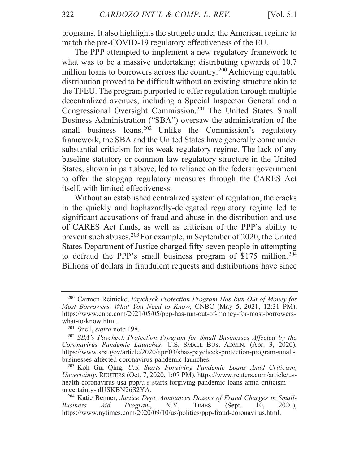programs. It also highlights the struggle under the American regime to match the pre-COVID-19 regulatory effectiveness of the EU.

The PPP attempted to implement a new regulatory framework to what was to be a massive undertaking: distributing upwards of 10.7 million loans to borrowers across the country.<sup>200</sup> Achieving equitable distribution proved to be difficult without an existing structure akin to the TFEU. The program purported to offer regulation through multiple decentralized avenues, including a Special Inspector General and a Congressional Oversight Commission.<sup>201</sup> The United States Small Business Administration ("SBA") oversaw the administration of the small business loans.<sup>202</sup> Unlike the Commission's regulatory framework, the SBA and the United States have generally come under substantial criticism for its weak regulatory regime. The lack of any baseline statutory or common law regulatory structure in the United States, shown in part above, led to reliance on the federal government to offer the stopgap regulatory measures through the CARES Act itself, with limited effectiveness.

Without an established centralized system of regulation, the cracks in the quickly and haphazardly-delegated regulatory regime led to significant accusations of fraud and abuse in the distribution and use of CARES Act funds, as well as criticism of the PPP's ability to prevent such abuses.<sup>203</sup> For example, in September of 2020, the United States Department of Justice charged fifty-seven people in attempting to defraud the PPP's small business program of  $$175$  million.<sup>204</sup> Billions of dollars in fraudulent requests and distributions have since

<sup>&</sup>lt;sup>200</sup> Carmen Reinicke, Paycheck Protection Program Has Run Out of Money for Most Borrowers. What You Need to Know, CNBC (May 5, 2021, 12:31 PM), https://www.cnbc.com/2021/05/05/ppp-has-run-out-of-money-for-most-borrowerswhat-to-know.html.

<sup>&</sup>lt;sup>201</sup> Snell, *supra* note 198.

<sup>&</sup>lt;sup>202</sup> SBA's Paycheck Protection Program for Small Businesses Affected by the Coronavirus Pandemic Launches, U.S. SMALL BUS. ADMIN. (Apr. 3, 2020), https://www.sba.gov/article/2020/apr/03/sbas-paycheck-protection-program-smallbusinesses-affected-coronavirus-pandemic-launches.

<sup>&</sup>lt;sup>203</sup> Koh Gui Qing, U.S. Starts Forgiving Pandemic Loans Amid Criticism, *Uncertainty*, REUTERS (Oct. 7, 2020, 1:07 PM), https://www.reuters.com/article/ushealth-coronavirus-usa-ppp/u-s-starts-forgiving-pandemic-loans-amid-criticismuncertainty-idUSKBN26S2YA.

<sup>&</sup>lt;sup>204</sup> Katie Benner, Justice Dept. Announces Dozens of Fraud Charges in Small-Aid Program, N.Y. **TIMES** (Sept. **Business** 10,  $2020$ ), https://www.nytimes.com/2020/09/10/us/politics/ppp-fraud-coronavirus.html.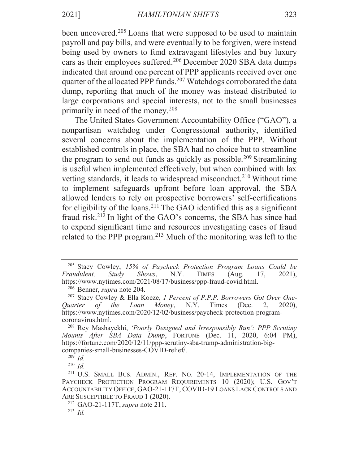been uncovered.<sup>205</sup> Loans that were supposed to be used to maintain payroll and pay bills, and were eventually to be forgiven, were instead being used by owners to fund extravagant lifestyles and buy luxury cars as their employees suffered.<sup>206</sup> December 2020 SBA data dumps indicated that around one percent of PPP applicants received over one quarter of the allocated PPP funds.<sup>207</sup> Watchdogs corroborated the data dump, reporting that much of the money was instead distributed to large corporations and special interests, not to the small businesses primarily in need of the money.<sup>208</sup>

The United States Government Accountability Office ("GAO"), a nonpartisan watchdog under Congressional authority, identified several concerns about the implementation of the PPP. Without established controls in place, the SBA had no choice but to streamline the program to send out funds as quickly as possible.<sup>209</sup> Streamlining is useful when implemented effectively, but when combined with lax vetting standards, it leads to widespread misconduct.<sup>210</sup> Without time to implement safeguards upfront before loan approval, the SBA allowed lenders to rely on prospective borrowers' self-certifications for eligibility of the loans.<sup>211</sup> The GAO identified this as a significant fraud risk.<sup>212</sup> In light of the GAO's concerns, the SBA has since had to expend significant time and resources investigating cases of fraud related to the PPP program.<sup>213</sup> Much of the monitoring was left to the

<sup>206</sup> Benner, *supra* note 204.

<sup>&</sup>lt;sup>205</sup> Stacy Cowley, 15% of Paycheck Protection Program Loans Could be Fraudulent, Study Shows, N.Y. **TIMES**  $(Aug.$ 17,  $2021$ , https://www.nytimes.com/2021/08/17/business/ppp-fraud-covid.html.

<sup>&</sup>lt;sup>207</sup> Stacy Cowley & Ella Koeze, 1 Percent of P.P.P. Borrowers Got Over One-Ouarter of the Loan *Money*, N.Y. Times (Dec.  $2.$  $2020$ ), https://www.nytimes.com/2020/12/02/business/paycheck-protection-programcoronavirus.html.

<sup>&</sup>lt;sup>208</sup> Rey Mashayekhi, 'Poorly Designed and Irresponsibly Run': PPP Scrutiny Mounts After SBA Data Dump, FORTUNE (Dec. 11, 2020, 6:04 PM), https://fortune.com/2020/12/11/ppp-scrutiny-sba-trump-administration-bigcompanies-small-businesses-COVID-relief/.

 $209$  *Id.* 

 $210$  *Id.* 

<sup>&</sup>lt;sup>211</sup> U.S. SMALL BUS. ADMIN., REP. No. 20-14, IMPLEMENTATION OF THE PAYCHECK PROTECTION PROGRAM REQUIREMENTS 10 (2020); U.S. GOV'T ACCOUNTABILITY OFFICE, GAO-21-117T, COVID-19 LOANS LACK CONTROLS AND ARE SUSCEPTIBLE TO FRAUD 1 (2020).

<sup>&</sup>lt;sup>212</sup> GAO-21-117T, *supra* note 211.

<sup>&</sup>lt;sup>213</sup> *Id*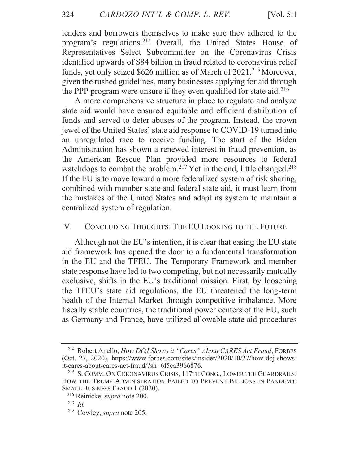lenders and borrowers themselves to make sure they adhered to the program's regulations.<sup>214</sup> Overall, the United States House of Representatives Select Subcommittee on the Coronavirus Crisis identified upwards of \$84 billion in fraud related to coronavirus relief funds, yet only seized \$626 million as of March of 2021.<sup>215</sup> Moreover, given the rushed guidelines, many businesses applying for aid through the PPP program were unsure if they even qualified for state aid.<sup>216</sup>

A more comprehensive structure in place to regulate and analyze state aid would have ensured equitable and efficient distribution of funds and served to deter abuses of the program. Instead, the crown jewel of the United States' state aid response to COVID-19 turned into an unregulated race to receive funding. The start of the Biden Administration has shown a renewed interest in fraud prevention, as the American Rescue Plan provided more resources to federal watchdogs to combat the problem.<sup>217</sup> Yet in the end, little changed.<sup>218</sup> If the EU is to move toward a more federalized system of risk sharing, combined with member state and federal state aid, it must learn from the mistakes of the United States and adapt its system to maintain a centralized system of regulation.

#### $V_{\cdot}$ CONCLUDING THOUGHTS: THE EU LOOKING TO THE FUTURE

Although not the EU's intention, it is clear that easing the EU state aid framework has opened the door to a fundamental transformation in the EU and the TFEU. The Temporary Framework and member state response have led to two competing, but not necessarily mutually exclusive, shifts in the EU's traditional mission. First, by loosening the TFEU's state aid regulations, the EU threatened the long-term health of the Internal Market through competitive imbalance. More fiscally stable countries, the traditional power centers of the EU, such as Germany and France, have utilized allowable state aid procedures

<sup>&</sup>lt;sup>214</sup> Robert Anello, *How DOJ Shows it "Cares" About CARES Act Fraud*, FORBES (Oct. 27, 2020), https://www.forbes.com/sites/insider/2020/10/27/how-doj-showsit-cares-about-cares-act-fraud/?sh=6f5ca3966876.

<sup>&</sup>lt;sup>215</sup> S. COMM. ON CORONAVIRUS CRISIS, 117TH CONG., LOWER THE GUARDRAILS: HOW THE TRUMP ADMINISTRATION FAILED TO PREVENT BILLIONS IN PANDEMIC SMALL BUSINESS FRAUD 1 (2020).

<sup>&</sup>lt;sup>216</sup> Reinicke, *supra* note 200.

 $^{217}$  *Id.* 

<sup>&</sup>lt;sup>218</sup> Cowley, *supra* note 205.